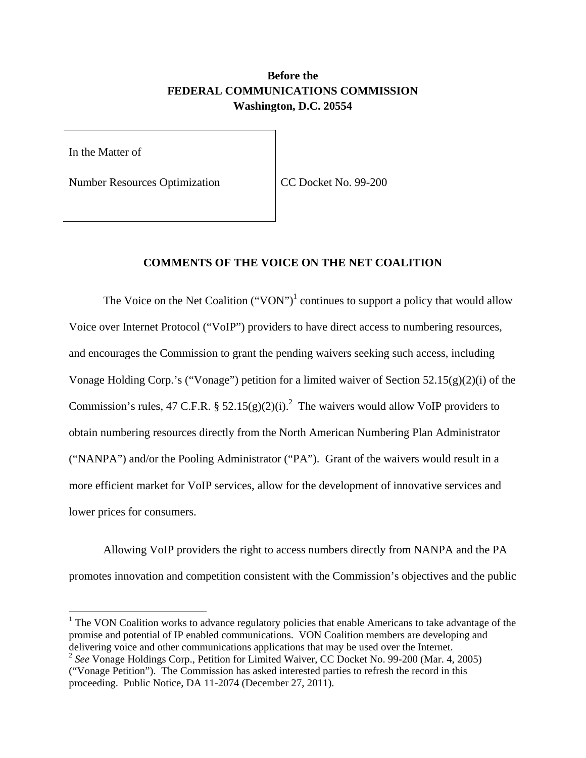## **Before the FEDERAL COMMUNICATIONS COMMISSION Washington, D.C. 20554**

In the Matter of

 $\overline{\phantom{a}}$ 

Number Resources Optimization | CC Docket No. 99-200

## **COMMENTS OF THE VOICE ON THE NET COALITION**

The Voice on the Net Coalition ("VON")<sup>1</sup> continues to support a policy that would allow Voice over Internet Protocol ("VoIP") providers to have direct access to numbering resources, and encourages the Commission to grant the pending waivers seeking such access, including Vonage Holding Corp.'s ("Vonage") petition for a limited waiver of Section 52.15(g)(2)(i) of the Commission's rules, 47 C.F.R. § 52.15(g)(2)(i).<sup>2</sup> The waivers would allow VoIP providers to obtain numbering resources directly from the North American Numbering Plan Administrator ("NANPA") and/or the Pooling Administrator ("PA"). Grant of the waivers would result in a more efficient market for VoIP services, allow for the development of innovative services and lower prices for consumers.

 Allowing VoIP providers the right to access numbers directly from NANPA and the PA promotes innovation and competition consistent with the Commission's objectives and the public

 $1$  The VON Coalition works to advance regulatory policies that enable Americans to take advantage of the promise and potential of IP enabled communications. VON Coalition members are developing and delivering voice and other communications applications that may be used over the Internet.

<sup>2</sup> *See* Vonage Holdings Corp., Petition for Limited Waiver, CC Docket No. 99-200 (Mar. 4, 2005) ("Vonage Petition"). The Commission has asked interested parties to refresh the record in this proceeding. Public Notice, DA 11-2074 (December 27, 2011).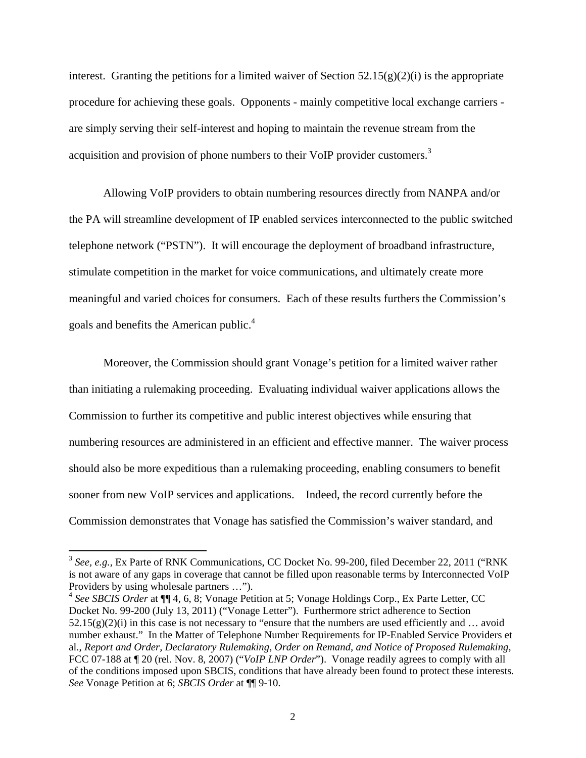interest. Granting the petitions for a limited waiver of Section  $52.15(g)(2)(i)$  is the appropriate procedure for achieving these goals. Opponents - mainly competitive local exchange carriers are simply serving their self-interest and hoping to maintain the revenue stream from the acquisition and provision of phone numbers to their VoIP provider customers.<sup>3</sup>

 Allowing VoIP providers to obtain numbering resources directly from NANPA and/or the PA will streamline development of IP enabled services interconnected to the public switched telephone network ("PSTN"). It will encourage the deployment of broadband infrastructure, stimulate competition in the market for voice communications, and ultimately create more meaningful and varied choices for consumers. Each of these results furthers the Commission's goals and benefits the American public.4

Moreover, the Commission should grant Vonage's petition for a limited waiver rather than initiating a rulemaking proceeding. Evaluating individual waiver applications allows the Commission to further its competitive and public interest objectives while ensuring that numbering resources are administered in an efficient and effective manner. The waiver process should also be more expeditious than a rulemaking proceeding, enabling consumers to benefit sooner from new VoIP services and applications. Indeed, the record currently before the Commission demonstrates that Vonage has satisfied the Commission's waiver standard, and

 $\overline{\phantom{a}}$ 

<sup>&</sup>lt;sup>3</sup> See, e.g., Ex Parte of RNK Communications, CC Docket No. 99-200, filed December 22, 2011 ("RNK is not aware of any gaps in coverage that cannot be filled upon reasonable terms by Interconnected VoIP Providers by using wholesale partners …").

<sup>4</sup> *See SBCIS Order* at ¶¶ 4, 6, 8; Vonage Petition at 5; Vonage Holdings Corp., Ex Parte Letter, CC Docket No. 99-200 (July 13, 2011) ("Vonage Letter"). Furthermore strict adherence to Section  $52.15(g)(2)(i)$  in this case is not necessary to "ensure that the numbers are used efficiently and ... avoid number exhaust." In the Matter of Telephone Number Requirements for IP-Enabled Service Providers et al., *Report and Order, Declaratory Rulemaking, Order on Remand, and Notice of Proposed Rulemaking*, FCC 07-188 at ¶ 20 (rel. Nov. 8, 2007) ("*VoIP LNP Order*"). Vonage readily agrees to comply with all of the conditions imposed upon SBCIS, conditions that have already been found to protect these interests. *See* Vonage Petition at 6; *SBCIS Order* at ¶¶ 9-10.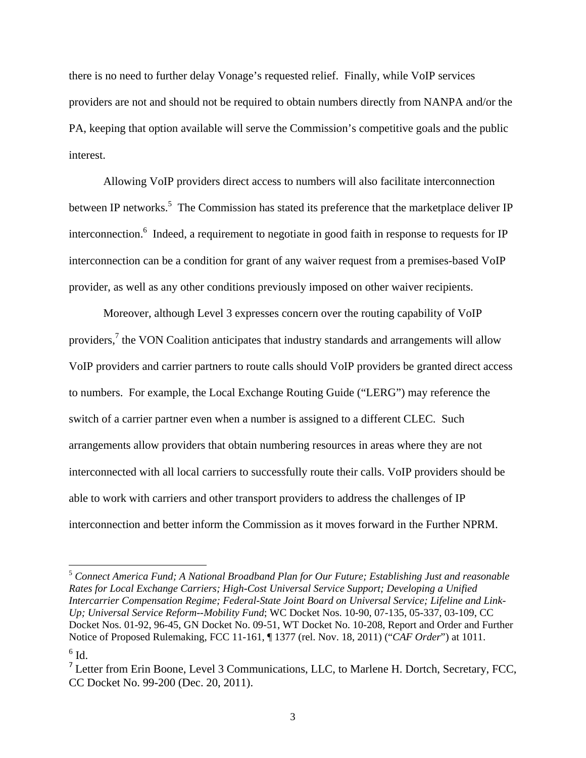there is no need to further delay Vonage's requested relief. Finally, while VoIP services providers are not and should not be required to obtain numbers directly from NANPA and/or the PA, keeping that option available will serve the Commission's competitive goals and the public interest.

Allowing VoIP providers direct access to numbers will also facilitate interconnection between IP networks.<sup>5</sup> The Commission has stated its preference that the marketplace deliver IP interconnection.<sup>6</sup> Indeed, a requirement to negotiate in good faith in response to requests for IP interconnection can be a condition for grant of any waiver request from a premises-based VoIP provider, as well as any other conditions previously imposed on other waiver recipients.

Moreover, although Level 3 expresses concern over the routing capability of VoIP providers,<sup>7</sup> the VON Coalition anticipates that industry standards and arrangements will allow VoIP providers and carrier partners to route calls should VoIP providers be granted direct access to numbers. For example, the Local Exchange Routing Guide ("LERG") may reference the switch of a carrier partner even when a number is assigned to a different CLEC. Such arrangements allow providers that obtain numbering resources in areas where they are not interconnected with all local carriers to successfully route their calls. VoIP providers should be able to work with carriers and other transport providers to address the challenges of IP interconnection and better inform the Commission as it moves forward in the Further NPRM.

 $\overline{\phantom{a}}$ 

<sup>5</sup> *Connect America Fund; A National Broadband Plan for Our Future; Establishing Just and reasonable Rates for Local Exchange Carriers; High-Cost Universal Service Support; Developing a Unified Intercarrier Compensation Regime; Federal-State Joint Board on Universal Service; Lifeline and Link-Up; Universal Service Reform--Mobility Fund*; WC Docket Nos. 10-90, 07-135, 05-337, 03-109, CC Docket Nos. 01-92, 96-45, GN Docket No. 09-51, WT Docket No. 10-208, Report and Order and Further Notice of Proposed Rulemaking, FCC 11-161, ¶ 1377 (rel. Nov. 18, 2011) ("*CAF Order*") at 1011.

 $^6$  Id.

 $<sup>7</sup>$  Letter from Erin Boone, Level 3 Communications, LLC, to Marlene H. Dortch, Secretary, FCC,</sup> CC Docket No. 99-200 (Dec. 20, 2011).